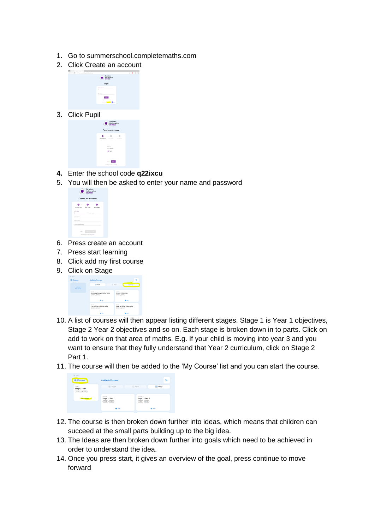- 1. Go to summerschool.completemaths.com
- 2. Click Create an account



3. Click Pupil

| Complete<br>Mathematics<br>COURSES                       |  |
|----------------------------------------------------------|--|
| Create an account                                        |  |
| Associate Type<br>Enter Solemn<br>New Orleans            |  |
| London<br>C Teacher<br><b>B</b> Api                      |  |
| NOT<br><b>BACK</b><br>Wrocally have an accounted Lag In- |  |

- **4.** Enter the school code **q22ixcu**
- 5. You will then be asked to enter your name and password

| Create an account |                                                 |  |
|-------------------|-------------------------------------------------|--|
|                   |                                                 |  |
|                   | Account Tugo Enter Token<br><b>Your Details</b> |  |
| First name        | Last reares                                     |  |
| Upprrunner        |                                                 |  |
| Passagead         |                                                 |  |
| Confirm Password  |                                                 |  |

- 6. Press create an account
- 7. Press start learning
- 8. Click add my first course
- 9. Click on Stage



- 10. A list of courses will then appear listing different stages. Stage 1 is Year 1 objectives, Stage 2 Year 2 objectives and so on. Each stage is broken down in to parts. Click on add to work on that area of maths. E.g. If your child is moving into year 3 and you want to ensure that they fully understand that Year 2 curriculum, click on Stage 2 Part 1.
- 11. The course will then be added to the 'My Course' list and you can start the course.

| <b>6 BACK</b><br>My Courses                | <b>Available Courses</b>                      |                                                   | Q         |
|--------------------------------------------|-----------------------------------------------|---------------------------------------------------|-----------|
| Course<br>Stage 2 - Part 1<br>(aum)(100un) | (O) Terget                                    | <b>Ca</b> : Topic                                 | $=$ Stage |
| <b>STURT COURSE -&gt;</b>                  | Opurso<br>Stage 1 - Part 1<br>$(5100)$ (8.5m) | Opurse<br>Stage 1 - Part 2<br>$(31666)$ $(11666)$ |           |
|                                            | 0.400                                         |                                                   | 0.00      |

- 12. The course is then broken down further into ideas, which means that children can succeed at the small parts building up to the big idea.
- 13. The Ideas are then broken down further into goals which need to be achieved in order to understand the idea.
- 14. Once you press start, it gives an overview of the goal, press continue to move forward